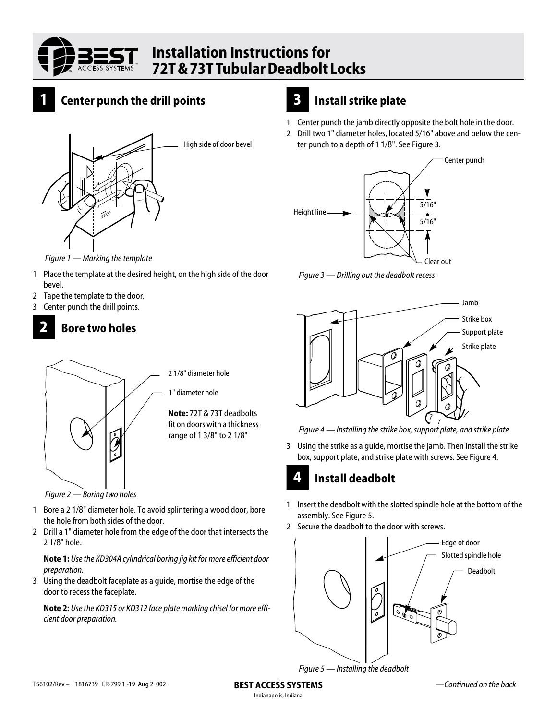

## **Installation Instructions for 72T & 73T Tubular Deadbolt Locks**

## **1 Center punch the drill points**



 *Figure 1 — Marking the template*

- 1 Place the template at the desired height, on the high side of the door bevel.
- 2 Tape the template to the door.
- 3 Center punch the drill points.

## **2 Bore two holes**



2 1/8" diameter hole

1" diameter hole

**Note:** 72T & 73T deadbolts fit on doors with a thickness range of 1 3/8" to 2 1/8"

 *Figure 2 — Boring two holes*

- 1 Bore a 2 1/8" diameter hole. To avoid splintering a wood door, bore the hole from both sides of the door.
- 2 Drill a 1" diameter hole from the edge of the door that intersects the 2 1/8" hole.

**Note 1:** *Use the KD304A cylindrical boring jig kit for more efficient door preparation.*

3 Using the deadbolt faceplate as a guide, mortise the edge of the door to recess the faceplate.

**Note 2:** *Use the KD315 or KD312 face plate marking chisel for more efficient door preparation.*

## **3 Install strike plate**

- 1 Center punch the jamb directly opposite the bolt hole in the door.
- 2 Drill two 1" diameter holes, located 5/16" above and below the center punch to a depth of 1 1/8". See Figure 3.



 *Figure 3 — Drilling out the deadbolt recess*



 *Figure 4 — Installing the strike box, support plate, and strike plate*

3 Using the strike as a guide, mortise the jamb. Then install the strike box, support plate, and strike plate with screws. See Figure 4.

## **4 Install deadbolt**

- 1 Insert the deadbolt with the slotted spindle hole at the bottom of the assembly. See Figure 5.
- 2 Secure the deadbolt to the door with screws.



 *Figure 5 — Installing the deadbolt*